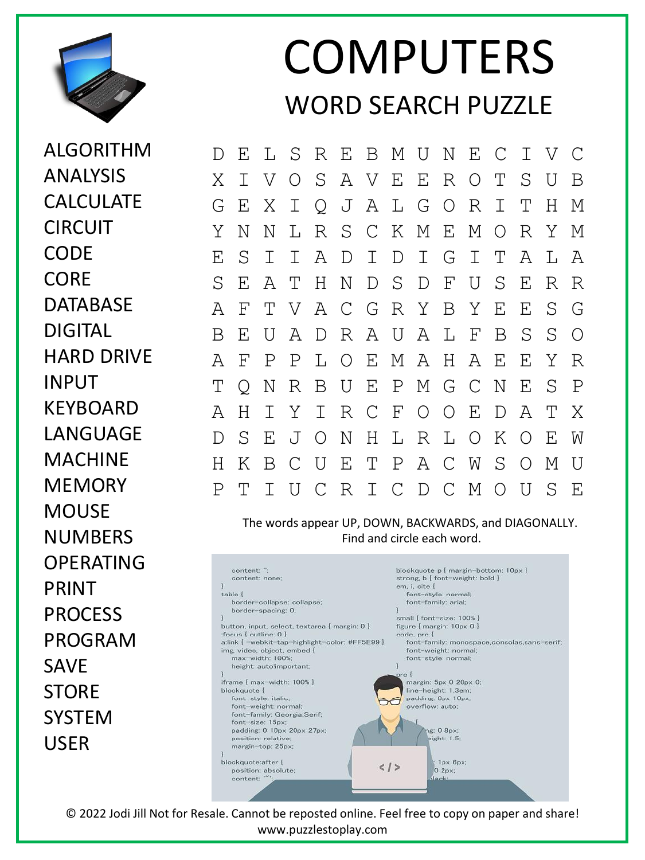

ALGORITHM

ANALYSIS

## COMPUTERS WORD SEARCH PUZZLE

D E L S R E B M U N E C I V C X I V O S A V E E R O T S U B G E X I Q J A L G O R I T H M Y N N L R S C K M E M O R Y M E S I I A D I D I G I T A L A S E A T H N D S D F U S E R R A F T V A C G R Y B Y E E S G B E U A D R A U A L F B S S O A F P P L O E M A H A E E Y R T Q N R B U E P M G C N E S P A H I Y I R C F O O E D A T X D S E J O N H L R L O K O E W H K B C U E T P A C W S O M U P T I U C R I C D C M O U S E

The words appear UP, DOWN, BACKWARDS, and DIAGONALLY. Find and circle each word.



© 2022 Jodi Jill Not for Resale. Cannot be reposted online. Feel free to copy on paper and share! www.puzzlestoplay.com

CALCULATE CIRCUIT **CODE CORE** DATABASE DIGITAL HARD DRIVE INPUT KEYBOARD LANGUAGE MACHINE **MEMORY MOUSE** NUMBERS OPERATING PRINT PROCESS PROGRAM SAVE **STORE** SYSTEM USER